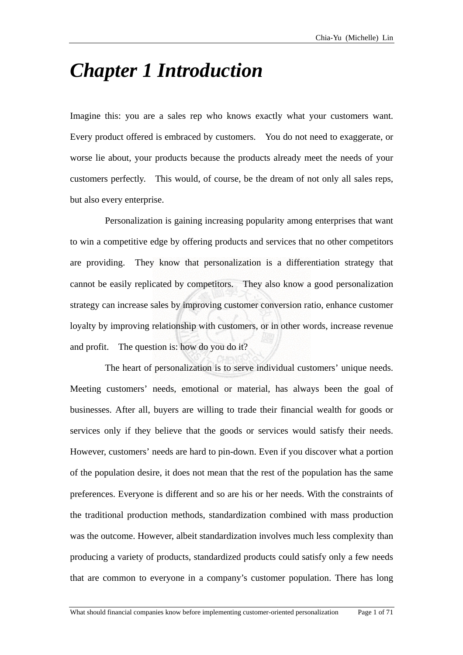## *Chapter 1 Introduction*

Imagine this: you are a sales rep who knows exactly what your customers want. Every product offered is embraced by customers. You do not need to exaggerate, or worse lie about, your products because the products already meet the needs of your customers perfectly. This would, of course, be the dream of not only all sales reps, but also every enterprise.

Personalization is gaining increasing popularity among enterprises that want to win a competitive edge by offering products and services that no other competitors are providing. They know that personalization is a differentiation strategy that cannot be easily replicated by competitors. They also know a good personalization strategy can increase sales by improving customer conversion ratio, enhance customer loyalty by improving relationship with customers, or in other words, increase revenue and profit. The question is: how do you do it?

The heart of personalization is to serve individual customers' unique needs. Meeting customers' needs, emotional or material, has always been the goal of businesses. After all, buyers are willing to trade their financial wealth for goods or services only if they believe that the goods or services would satisfy their needs. However, customers' needs are hard to pin-down. Even if you discover what a portion of the population desire, it does not mean that the rest of the population has the same preferences. Everyone is different and so are his or her needs. With the constraints of the traditional production methods, standardization combined with mass production was the outcome. However, albeit standardization involves much less complexity than producing a variety of products, standardized products could satisfy only a few needs that are common to everyone in a company's customer population. There has long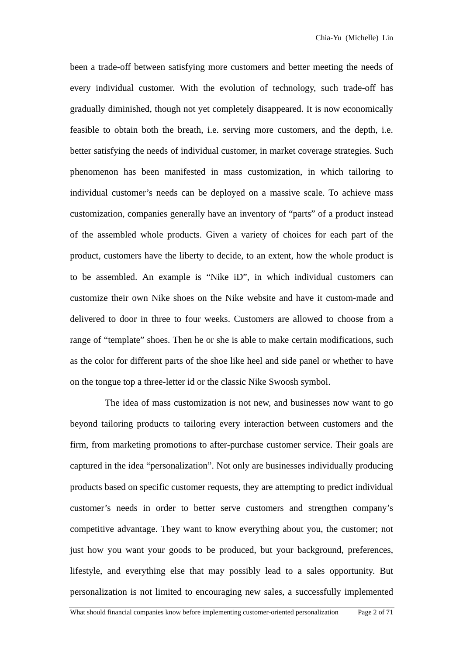been a trade-off between satisfying more customers and better meeting the needs of every individual customer. With the evolution of technology, such trade-off has gradually diminished, though not yet completely disappeared. It is now economically feasible to obtain both the breath, i.e. serving more customers, and the depth, i.e. better satisfying the needs of individual customer, in market coverage strategies. Such phenomenon has been manifested in mass customization, in which tailoring to individual customer's needs can be deployed on a massive scale. To achieve mass customization, companies generally have an inventory of "parts" of a product instead of the assembled whole products. Given a variety of choices for each part of the product, customers have the liberty to decide, to an extent, how the whole product is to be assembled. An example is "Nike iD", in which individual customers can customize their own Nike shoes on the Nike website and have it custom-made and delivered to door in three to four weeks. Customers are allowed to choose from a range of "template" shoes. Then he or she is able to make certain modifications, such as the color for different parts of the shoe like heel and side panel or whether to have on the tongue top a three-letter id or the classic Nike Swoosh symbol.

The idea of mass customization is not new, and businesses now want to go beyond tailoring products to tailoring every interaction between customers and the firm, from marketing promotions to after-purchase customer service. Their goals are captured in the idea "personalization". Not only are businesses individually producing products based on specific customer requests, they are attempting to predict individual customer's needs in order to better serve customers and strengthen company's competitive advantage. They want to know everything about you, the customer; not just how you want your goods to be produced, but your background, preferences, lifestyle, and everything else that may possibly lead to a sales opportunity. But personalization is not limited to encouraging new sales, a successfully implemented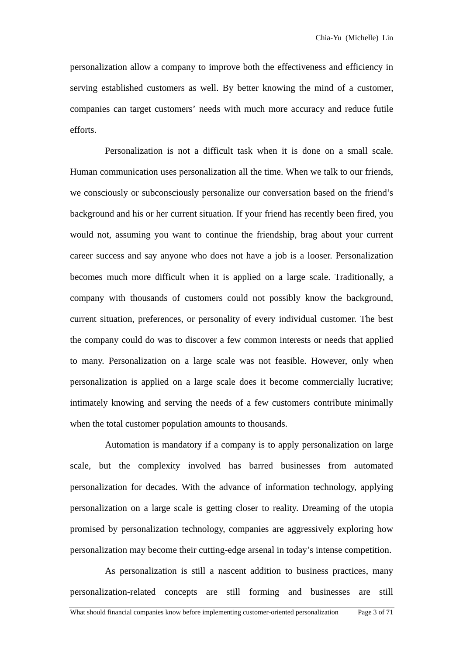personalization allow a company to improve both the effectiveness and efficiency in serving established customers as well. By better knowing the mind of a customer, companies can target customers' needs with much more accuracy and reduce futile efforts.

Personalization is not a difficult task when it is done on a small scale. Human communication uses personalization all the time. When we talk to our friends, we consciously or subconsciously personalize our conversation based on the friend's background and his or her current situation. If your friend has recently been fired, you would not, assuming you want to continue the friendship, brag about your current career success and say anyone who does not have a job is a looser. Personalization becomes much more difficult when it is applied on a large scale. Traditionally, a company with thousands of customers could not possibly know the background, current situation, preferences, or personality of every individual customer. The best the company could do was to discover a few common interests or needs that applied to many. Personalization on a large scale was not feasible. However, only when personalization is applied on a large scale does it become commercially lucrative; intimately knowing and serving the needs of a few customers contribute minimally when the total customer population amounts to thousands.

Automation is mandatory if a company is to apply personalization on large scale, but the complexity involved has barred businesses from automated personalization for decades. With the advance of information technology, applying personalization on a large scale is getting closer to reality. Dreaming of the utopia promised by personalization technology, companies are aggressively exploring how personalization may become their cutting-edge arsenal in today's intense competition.

As personalization is still a nascent addition to business practices, many personalization-related concepts are still forming and businesses are still